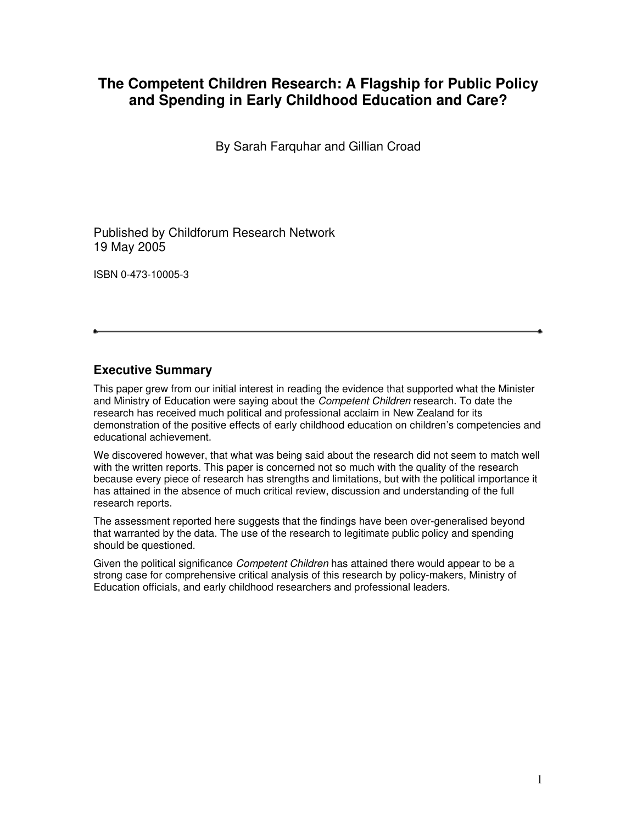# **The Competent Children Research: A Flagship for Public Policy and Spending in Early Childhood Education and Care?**

By Sarah Farquhar and Gillian Croad

Published by Childforum Research Network 19 May 2005

ISBN 0-473-10005-3

## **Executive Summary**

This paper grew from our initial interest in reading the evidence that supported what the Minister and Ministry of Education were saying about the *Competent Children* research. To date the research has received much political and professional acclaim in New Zealand for its demonstration of the positive effects of early childhood education on children's competencies and educational achievement.

We discovered however, that what was being said about the research did not seem to match well with the written reports. This paper is concerned not so much with the quality of the research because every piece of research has strengths and limitations, but with the political importance it has attained in the absence of much critical review, discussion and understanding of the full research reports.

The assessment reported here suggests that the findings have been over-generalised beyond that warranted by the data. The use of the research to legitimate public policy and spending should be questioned.

Given the political significance *Competent Children* has attained there would appear to be a strong case for comprehensive critical analysis of this research by policy-makers, Ministry of Education officials, and early childhood researchers and professional leaders.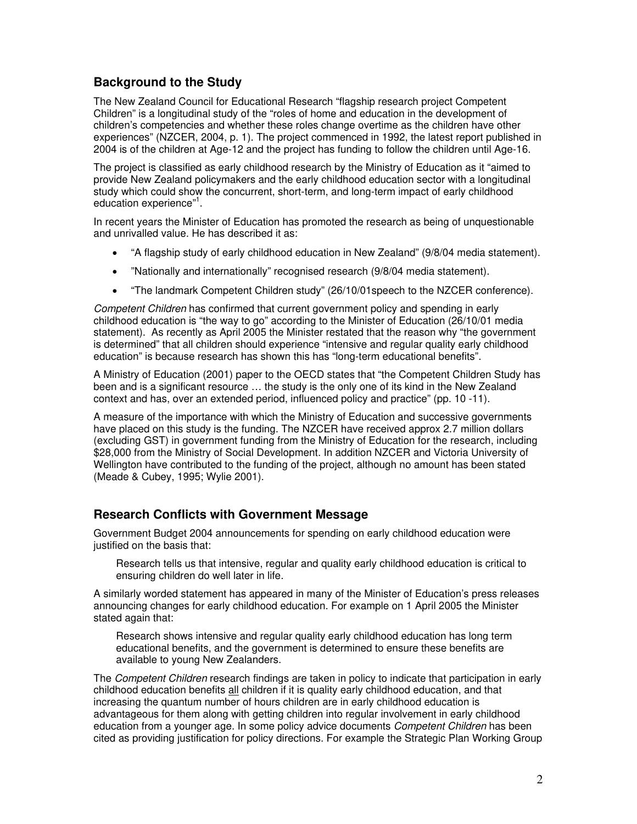## **Background to the Study**

The New Zealand Council for Educational Research "flagship research project Competent Children" is a longitudinal study of the "roles of home and education in the development of children's competencies and whether these roles change overtime as the children have other experiences" (NZCER, 2004, p. 1). The project commenced in 1992, the latest report published in 2004 is of the children at Age-12 and the project has funding to follow the children until Age-16.

The project is classified as early childhood research by the Ministry of Education as it "aimed to provide New Zealand policymakers and the early childhood education sector with a longitudinal study which could show the concurrent, short-term, and long-term impact of early childhood education experience"<sup>[1](#page-12-0)</sup>.

In recent years the Minister of Education has promoted the research as being of unquestionable and unrivalled value. He has described it as:

- "A flagship study of early childhood education in New Zealand" (9/8/04 media statement).
- "Nationally and internationally" recognised research (9/8/04 media statement).
- "The landmark Competent Children study" (26/10/01speech to the NZCER conference).

*Competent Children* has confirmed that current government policy and spending in early childhood education is "the way to go" according to the Minister of Education (26/10/01 media statement). As recently as April 2005 the Minister restated that the reason why "the government is determined" that all children should experience "intensive and regular quality early childhood education" is because research has shown this has "long-term educational benefits".

A Ministry of Education (2001) paper to the OECD states that "the Competent Children Study has been and is a significant resource … the study is the only one of its kind in the New Zealand context and has, over an extended period, influenced policy and practice" (pp. 10 -11).

A measure of the importance with which the Ministry of Education and successive governments have placed on this study is the funding. The NZCER have received approx 2.7 million dollars (excluding GST) in government funding from the Ministry of Education for the research, including \$28,000 from the Ministry of Social Development. In addition NZCER and Victoria University of Wellington have contributed to the funding of the project, although no amount has been stated (Meade & Cubey, 1995; Wylie 2001).

## **Research Conflicts with Government Message**

Government Budget 2004 announcements for spending on early childhood education were justified on the basis that:

Research tells us that intensive, regular and quality early childhood education is critical to ensuring children do well later in life.

A similarly worded statement has appeared in many of the Minister of Education's press releases announcing changes for early childhood education. For example on 1 April 2005 the Minister stated again that:

Research shows intensive and regular quality early childhood education has long term educational benefits, and the government is determined to ensure these benefits are available to young New Zealanders.

The *Competent Children* research findings are taken in policy to indicate that participation in early childhood education benefits all children if it is quality early childhood education, and that increasing the quantum number of hours children are in early childhood education is advantageous for them along with getting children into regular involvement in early childhood education from a younger age. In some policy advice documents *Competent Children* has been cited as providing justification for policy directions. For example the Strategic Plan Working Group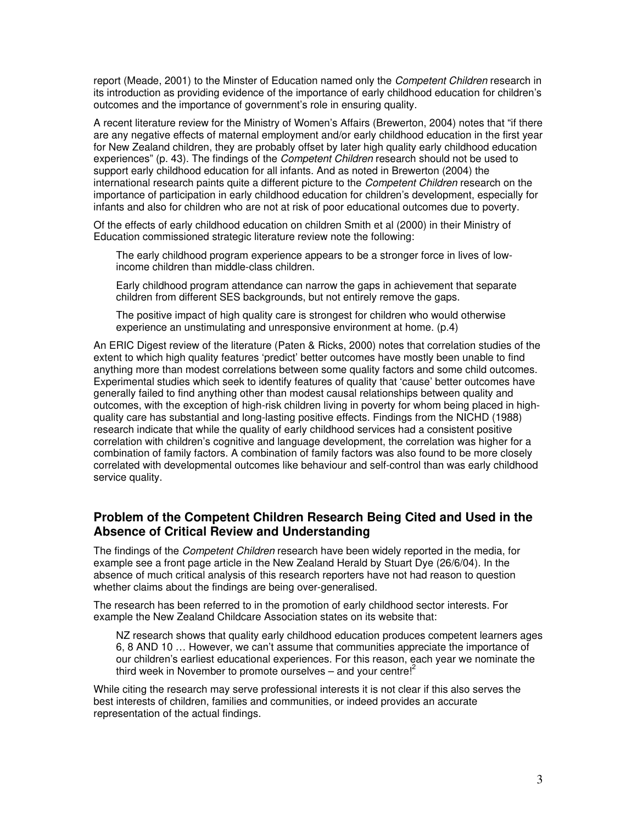report (Meade, 2001) to the Minster of Education named only the *Competent Children* research in its introduction as providing evidence of the importance of early childhood education for children's outcomes and the importance of government's role in ensuring quality.

A recent literature review for the Ministry of Women's Affairs (Brewerton, 2004) notes that "if there are any negative effects of maternal employment and/or early childhood education in the first year for New Zealand children, they are probably offset by later high quality early childhood education experiences" (p. 43). The findings of the *Competent Children* research should not be used to support early childhood education for all infants. And as noted in Brewerton (2004) the international research paints quite a different picture to the *Competent Children* research on the importance of participation in early childhood education for children's development, especially for infants and also for children who are not at risk of poor educational outcomes due to poverty.

Of the effects of early childhood education on children Smith et al (2000) in their Ministry of Education commissioned strategic literature review note the following:

The early childhood program experience appears to be a stronger force in lives of lowincome children than middle-class children.

Early childhood program attendance can narrow the gaps in achievement that separate children from different SES backgrounds, but not entirely remove the gaps.

The positive impact of high quality care is strongest for children who would otherwise experience an unstimulating and unresponsive environment at home. (p.4)

An ERIC Digest review of the literature (Paten & Ricks, 2000) notes that correlation studies of the extent to which high quality features 'predict' better outcomes have mostly been unable to find anything more than modest correlations between some quality factors and some child outcomes. Experimental studies which seek to identify features of quality that 'cause' better outcomes have generally failed to find anything other than modest causal relationships between quality and outcomes, with the exception of high-risk children living in poverty for whom being placed in highquality care has substantial and long-lasting positive effects. Findings from the NICHD (1988) research indicate that while the quality of early childhood services had a consistent positive correlation with children's cognitive and language development, the correlation was higher for a combination of family factors. A combination of family factors was also found to be more closely correlated with developmental outcomes like behaviour and self-control than was early childhood service quality.

## **Problem of the Competent Children Research Being Cited and Used in the Absence of Critical Review and Understanding**

The findings of the *Competent Children* research have been widely reported in the media, for example see a front page article in the New Zealand Herald by Stuart Dye (26/6/04). In the absence of much critical analysis of this research reporters have not had reason to question whether claims about the findings are being over-generalised.

The research has been referred to in the promotion of early childhood sector interests. For example the New Zealand Childcare Association states on its website that:

NZ research shows that quality early childhood education produces competent learners ages 6, 8 AND 10 … However, we can't assume that communities appreciate the importance of our children's earliest educational experiences. For this reason, each year we nominate the third week in November to promote ourselves – and your centre!<sup>[2](#page-12-1)</sup>

While citing the research may serve professional interests it is not clear if this also serves the best interests of children, families and communities, or indeed provides an accurate representation of the actual findings.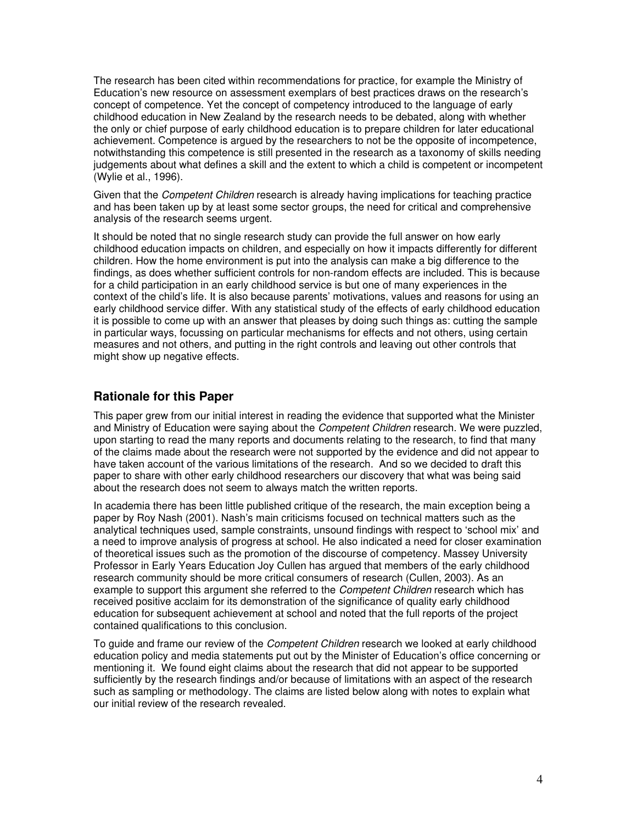The research has been cited within recommendations for practice, for example the Ministry of Education's new resource on assessment exemplars of best practices draws on the research's concept of competence. Yet the concept of competency introduced to the language of early childhood education in New Zealand by the research needs to be debated, along with whether the only or chief purpose of early childhood education is to prepare children for later educational achievement. Competence is argued by the researchers to not be the opposite of incompetence, notwithstanding this competence is still presented in the research as a taxonomy of skills needing judgements about what defines a skill and the extent to which a child is competent or incompetent (Wylie et al., 1996).

Given that the *Competent Children* research is already having implications for teaching practice and has been taken up by at least some sector groups, the need for critical and comprehensive analysis of the research seems urgent.

It should be noted that no single research study can provide the full answer on how early childhood education impacts on children, and especially on how it impacts differently for different children. How the home environment is put into the analysis can make a big difference to the findings, as does whether sufficient controls for non-random effects are included. This is because for a child participation in an early childhood service is but one of many experiences in the context of the child's life. It is also because parents' motivations, values and reasons for using an early childhood service differ. With any statistical study of the effects of early childhood education it is possible to come up with an answer that pleases by doing such things as: cutting the sample in particular ways, focussing on particular mechanisms for effects and not others, using certain measures and not others, and putting in the right controls and leaving out other controls that might show up negative effects.

# **Rationale for this Paper**

This paper grew from our initial interest in reading the evidence that supported what the Minister and Ministry of Education were saying about the *Competent Children* research. We were puzzled, upon starting to read the many reports and documents relating to the research, to find that many of the claims made about the research were not supported by the evidence and did not appear to have taken account of the various limitations of the research. And so we decided to draft this paper to share with other early childhood researchers our discovery that what was being said about the research does not seem to always match the written reports.

In academia there has been little published critique of the research, the main exception being a paper by Roy Nash (2001). Nash's main criticisms focused on technical matters such as the analytical techniques used, sample constraints, unsound findings with respect to 'school mix' and a need to improve analysis of progress at school. He also indicated a need for closer examination of theoretical issues such as the promotion of the discourse of competency. Massey University Professor in Early Years Education Joy Cullen has argued that members of the early childhood research community should be more critical consumers of research (Cullen, 2003). As an example to support this argument she referred to the *Competent Children* research which has received positive acclaim for its demonstration of the significance of quality early childhood education for subsequent achievement at school and noted that the full reports of the project contained qualifications to this conclusion.

To guide and frame our review of the *Competent Children* research we looked at early childhood education policy and media statements put out by the Minister of Education's office concerning or mentioning it. We found eight claims about the research that did not appear to be supported sufficiently by the research findings and/or because of limitations with an aspect of the research such as sampling or methodology. The claims are listed below along with notes to explain what our initial review of the research revealed.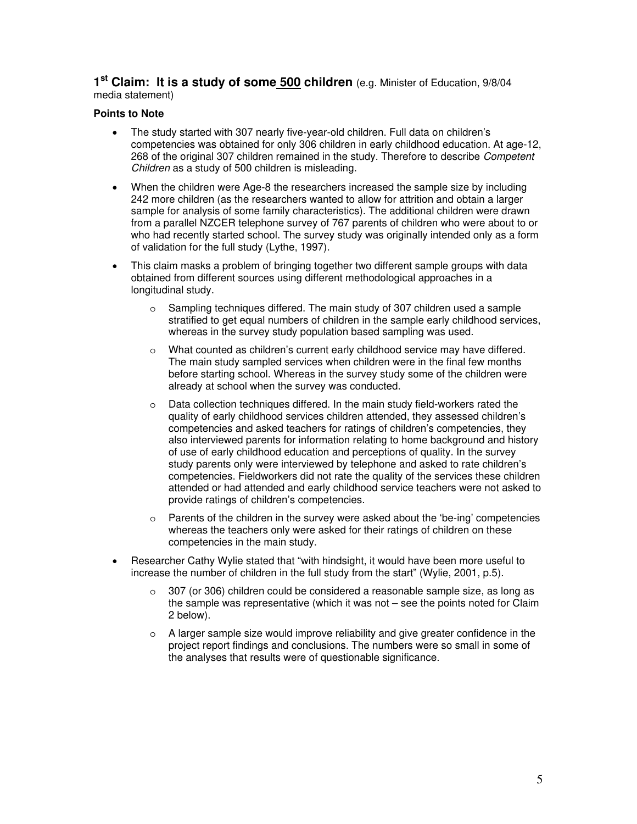1<sup>st</sup> Claim: It is a study of some 500 children (e.g. Minister of Education, 9/8/04 media statement)

- The study started with 307 nearly five-year-old children. Full data on children's competencies was obtained for only 306 children in early childhood education. At age-12, 268 of the original 307 children remained in the study. Therefore to describe *Competent Children* as a study of 500 children is misleading.
- When the children were Age-8 the researchers increased the sample size by including 242 more children (as the researchers wanted to allow for attrition and obtain a larger sample for analysis of some family characteristics). The additional children were drawn from a parallel NZCER telephone survey of 767 parents of children who were about to or who had recently started school. The survey study was originally intended only as a form of validation for the full study (Lythe, 1997).
- This claim masks a problem of bringing together two different sample groups with data obtained from different sources using different methodological approaches in a longitudinal study.
	- o Sampling techniques differed. The main study of 307 children used a sample stratified to get equal numbers of children in the sample early childhood services, whereas in the survey study population based sampling was used.
	- o What counted as children's current early childhood service may have differed. The main study sampled services when children were in the final few months before starting school. Whereas in the survey study some of the children were already at school when the survey was conducted.
	- $\circ$  Data collection techniques differed. In the main study field-workers rated the quality of early childhood services children attended, they assessed children's competencies and asked teachers for ratings of children's competencies, they also interviewed parents for information relating to home background and history of use of early childhood education and perceptions of quality. In the survey study parents only were interviewed by telephone and asked to rate children's competencies. Fieldworkers did not rate the quality of the services these children attended or had attended and early childhood service teachers were not asked to provide ratings of children's competencies.
	- $\circ$  Parents of the children in the survey were asked about the 'be-ing' competencies whereas the teachers only were asked for their ratings of children on these competencies in the main study.
- Researcher Cathy Wylie stated that "with hindsight, it would have been more useful to increase the number of children in the full study from the start" (Wylie, 2001, p.5).
	- $\circ$  307 (or 306) children could be considered a reasonable sample size, as long as the sample was representative (which it was not – see the points noted for Claim 2 below).
	- $\circ$  A larger sample size would improve reliability and give greater confidence in the project report findings and conclusions. The numbers were so small in some of the analyses that results were of questionable significance.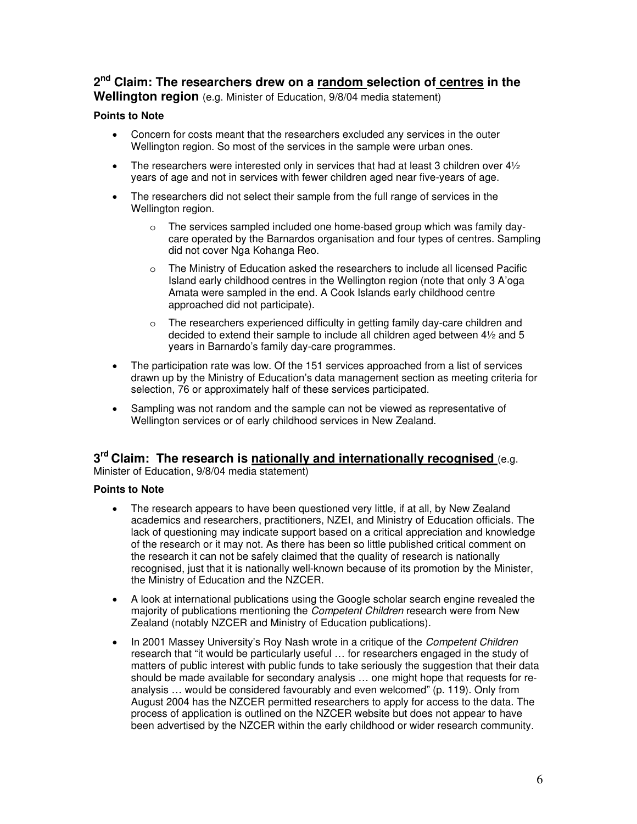## **2 nd Claim: The researchers drew on a random selection of centres in the Wellington region** (e.g. Minister of Education, 9/8/04 media statement)

#### **Points to Note**

- Concern for costs meant that the researchers excluded any services in the outer Wellington region. So most of the services in the sample were urban ones.
- The researchers were interested only in services that had at least 3 children over 4½ years of age and not in services with fewer children aged near five-years of age.
- The researchers did not select their sample from the full range of services in the Wellington region.
	- $\circ$  The services sampled included one home-based group which was family daycare operated by the Barnardos organisation and four types of centres. Sampling did not cover Nga Kohanga Reo.
	- o The Ministry of Education asked the researchers to include all licensed Pacific Island early childhood centres in the Wellington region (note that only 3 A'oga Amata were sampled in the end. A Cook Islands early childhood centre approached did not participate).
	- o The researchers experienced difficulty in getting family day-care children and decided to extend their sample to include all children aged between 4½ and 5 years in Barnardo's family day-care programmes.
- The participation rate was low. Of the 151 services approached from a list of services drawn up by the Ministry of Education's data management section as meeting criteria for selection, 76 or approximately half of these services participated.
- Sampling was not random and the sample can not be viewed as representative of Wellington services or of early childhood services in New Zealand.

# **3 rd Claim: The research is nationally and internationally recognised** (e.g.

Minister of Education, 9/8/04 media statement)

- The research appears to have been questioned very little, if at all, by New Zealand academics and researchers, practitioners, NZEI, and Ministry of Education officials. The lack of questioning may indicate support based on a critical appreciation and knowledge of the research or it may not. As there has been so little published critical comment on the research it can not be safely claimed that the quality of research is nationally recognised, just that it is nationally well-known because of its promotion by the Minister, the Ministry of Education and the NZCER.
- A look at international publications using the Google scholar search engine revealed the majority of publications mentioning the *Competent Children* research were from New Zealand (notably NZCER and Ministry of Education publications).
- In 2001 Massey University's Roy Nash wrote in a critique of the *Competent Children* research that "it would be particularly useful … for researchers engaged in the study of matters of public interest with public funds to take seriously the suggestion that their data should be made available for secondary analysis … one might hope that requests for reanalysis … would be considered favourably and even welcomed" (p. 119). Only from August 2004 has the NZCER permitted researchers to apply for access to the data. The process of application is outlined on the NZCER website but does not appear to have been advertised by the NZCER within the early childhood or wider research community.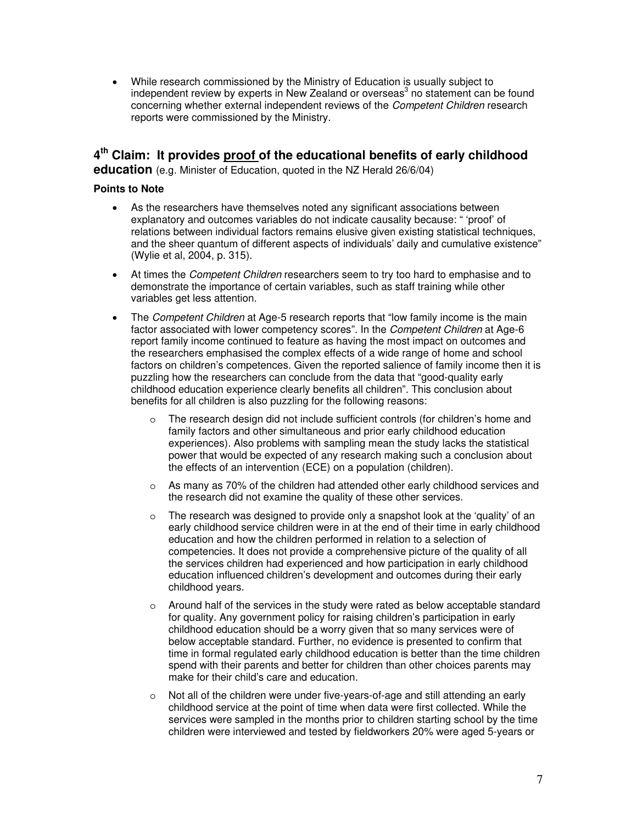• While research commissioned by the Ministry of Education is usually subject to independent review by experts in New Zealand or overseas<sup>[3](#page-12-2)</sup> no statement can be found concerning whether external independent reviews of the *Competent Children* research reports were commissioned by the Ministry.

# **4 th Claim: It provides proof of the educational benefits of early childhood**

**education** (e.g. Minister of Education, quoted in the NZ Herald 26/6/04)

- As the researchers have themselves noted any significant associations between explanatory and outcomes variables do not indicate causality because: " 'proof' of relations between individual factors remains elusive given existing statistical techniques, and the sheer quantum of different aspects of individuals' daily and cumulative existence" (Wylie et al, 2004, p. 315).
- At times the *Competent Children* researchers seem to try too hard to emphasise and to demonstrate the importance of certain variables, such as staff training while other variables get less attention.
- The *Competent Children* at Age-5 research reports that "low family income is the main factor associated with lower competency scores". In the *Competent Children* at Age-6 report family income continued to feature as having the most impact on outcomes and the researchers emphasised the complex effects of a wide range of home and school factors on children's competences. Given the reported salience of family income then it is puzzling how the researchers can conclude from the data that "good-quality early childhood education experience clearly benefits all children". This conclusion about benefits for all children is also puzzling for the following reasons:
	- o The research design did not include sufficient controls (for children's home and family factors and other simultaneous and prior early childhood education experiences). Also problems with sampling mean the study lacks the statistical power that would be expected of any research making such a conclusion about the effects of an intervention (ECE) on a population (children).
	- o As many as 70% of the children had attended other early childhood services and the research did not examine the quality of these other services.
	- o The research was designed to provide only a snapshot look at the 'quality' of an early childhood service children were in at the end of their time in early childhood education and how the children performed in relation to a selection of competencies. It does not provide a comprehensive picture of the quality of all the services children had experienced and how participation in early childhood education influenced children's development and outcomes during their early childhood years.
	- o Around half of the services in the study were rated as below acceptable standard for quality. Any government policy for raising children's participation in early childhood education should be a worry given that so many services were of below acceptable standard. Further, no evidence is presented to confirm that time in formal regulated early childhood education is better than the time children spend with their parents and better for children than other choices parents may make for their child's care and education.
	- $\circ$  Not all of the children were under five-years-of-age and still attending an early childhood service at the point of time when data were first collected. While the services were sampled in the months prior to children starting school by the time children were interviewed and tested by fieldworkers 20% were aged 5-years or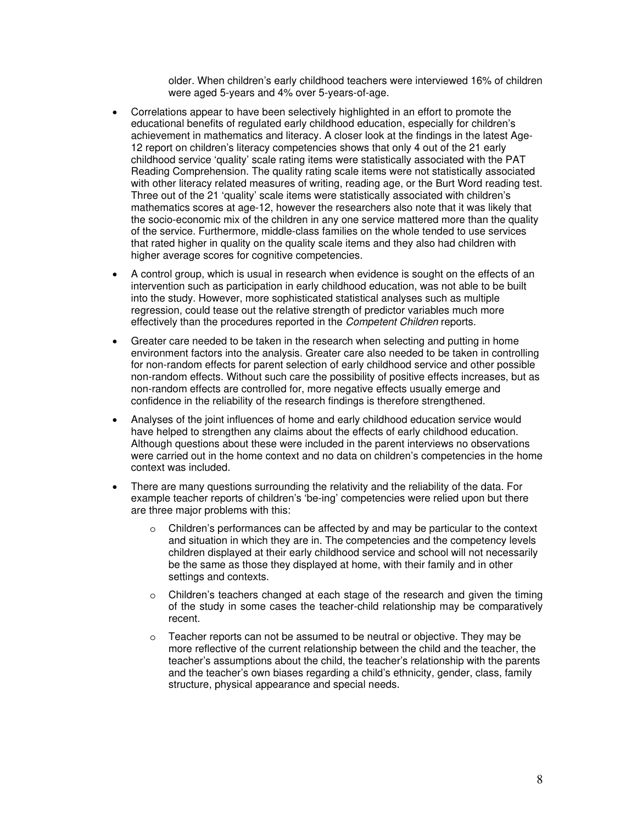older. When children's early childhood teachers were interviewed 16% of children were aged 5-years and 4% over 5-years-of-age.

- Correlations appear to have been selectively highlighted in an effort to promote the educational benefits of regulated early childhood education, especially for children's achievement in mathematics and literacy. A closer look at the findings in the latest Age-12 report on children's literacy competencies shows that only 4 out of the 21 early childhood service 'quality' scale rating items were statistically associated with the PAT Reading Comprehension. The quality rating scale items were not statistically associated with other literacy related measures of writing, reading age, or the Burt Word reading test. Three out of the 21 'quality' scale items were statistically associated with children's mathematics scores at age-12, however the researchers also note that it was likely that the socio-economic mix of the children in any one service mattered more than the quality of the service. Furthermore, middle-class families on the whole tended to use services that rated higher in quality on the quality scale items and they also had children with higher average scores for cognitive competencies.
- A control group, which is usual in research when evidence is sought on the effects of an intervention such as participation in early childhood education, was not able to be built into the study. However, more sophisticated statistical analyses such as multiple regression, could tease out the relative strength of predictor variables much more effectively than the procedures reported in the *Competent Children* reports.
- Greater care needed to be taken in the research when selecting and putting in home environment factors into the analysis. Greater care also needed to be taken in controlling for non-random effects for parent selection of early childhood service and other possible non-random effects. Without such care the possibility of positive effects increases, but as non-random effects are controlled for, more negative effects usually emerge and confidence in the reliability of the research findings is therefore strengthened.
- Analyses of the joint influences of home and early childhood education service would have helped to strengthen any claims about the effects of early childhood education. Although questions about these were included in the parent interviews no observations were carried out in the home context and no data on children's competencies in the home context was included.
- There are many questions surrounding the relativity and the reliability of the data. For example teacher reports of children's 'be-ing' competencies were relied upon but there are three major problems with this:
	- $\circ$  Children's performances can be affected by and may be particular to the context and situation in which they are in. The competencies and the competency levels children displayed at their early childhood service and school will not necessarily be the same as those they displayed at home, with their family and in other settings and contexts.
	- o Children's teachers changed at each stage of the research and given the timing of the study in some cases the teacher-child relationship may be comparatively recent.
	- $\circ$  Teacher reports can not be assumed to be neutral or objective. They may be more reflective of the current relationship between the child and the teacher, the teacher's assumptions about the child, the teacher's relationship with the parents and the teacher's own biases regarding a child's ethnicity, gender, class, family structure, physical appearance and special needs.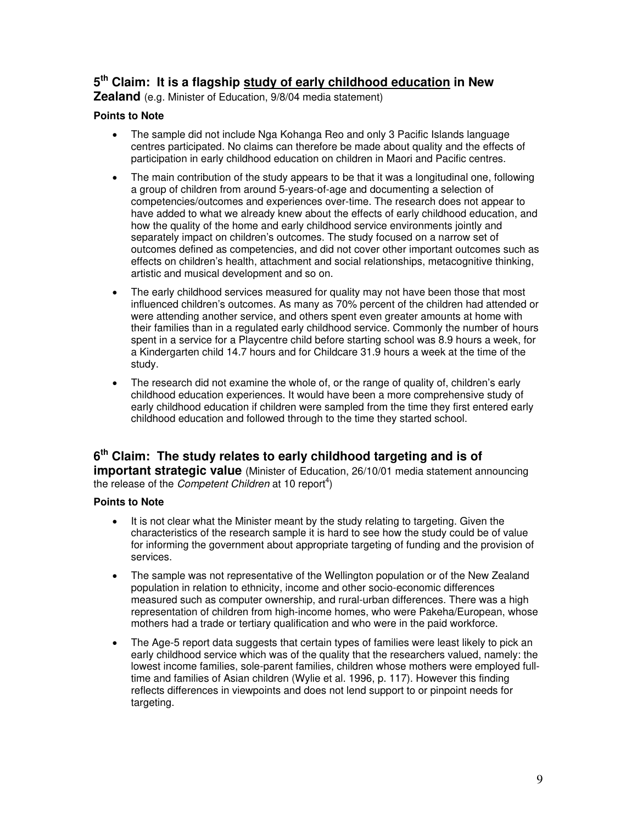# **5 th Claim: It is a flagship study of early childhood education in New**

**Zealand** (e.g. Minister of Education, 9/8/04 media statement)

#### **Points to Note**

- The sample did not include Nga Kohanga Reo and only 3 Pacific Islands language centres participated. No claims can therefore be made about quality and the effects of participation in early childhood education on children in Maori and Pacific centres.
- The main contribution of the study appears to be that it was a longitudinal one, following a group of children from around 5-years-of-age and documenting a selection of competencies/outcomes and experiences over-time. The research does not appear to have added to what we already knew about the effects of early childhood education, and how the quality of the home and early childhood service environments jointly and separately impact on children's outcomes. The study focused on a narrow set of outcomes defined as competencies, and did not cover other important outcomes such as effects on children's health, attachment and social relationships, metacognitive thinking, artistic and musical development and so on.
- The early childhood services measured for quality may not have been those that most influenced children's outcomes. As many as 70% percent of the children had attended or were attending another service, and others spent even greater amounts at home with their families than in a regulated early childhood service. Commonly the number of hours spent in a service for a Playcentre child before starting school was 8.9 hours a week, for a Kindergarten child 14.7 hours and for Childcare 31.9 hours a week at the time of the study.
- The research did not examine the whole of, or the range of quality of, children's early childhood education experiences. It would have been a more comprehensive study of early childhood education if children were sampled from the time they first entered early childhood education and followed through to the time they started school.

## **6 th Claim: The study relates to early childhood targeting and is of important strategic value** (Minister of Education, 26/10/01 media statement announcing the release of the *Competent Children* at 10 report<sup>[4](#page-12-3)</sup>)

- It is not clear what the Minister meant by the study relating to targeting. Given the characteristics of the research sample it is hard to see how the study could be of value for informing the government about appropriate targeting of funding and the provision of services.
- The sample was not representative of the Wellington population or of the New Zealand population in relation to ethnicity, income and other socio-economic differences measured such as computer ownership, and rural-urban differences. There was a high representation of children from high-income homes, who were Pakeha/European, whose mothers had a trade or tertiary qualification and who were in the paid workforce.
- The Age-5 report data suggests that certain types of families were least likely to pick an early childhood service which was of the quality that the researchers valued, namely: the lowest income families, sole-parent families, children whose mothers were employed fulltime and families of Asian children (Wylie et al. 1996, p. 117). However this finding reflects differences in viewpoints and does not lend support to or pinpoint needs for targeting.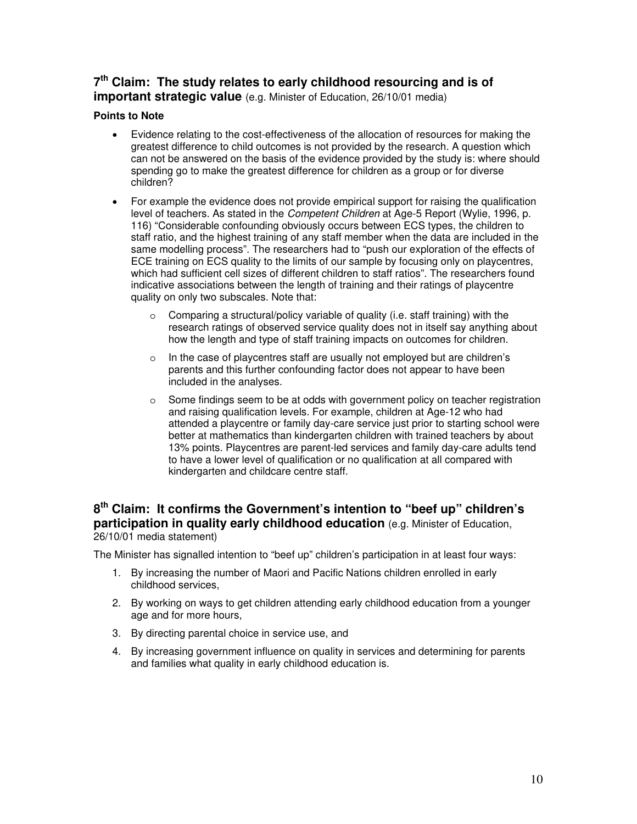## **7 th Claim: The study relates to early childhood resourcing and is of important strategic value** (e.g. Minister of Education, 26/10/01 media)

#### **Points to Note**

- Evidence relating to the cost-effectiveness of the allocation of resources for making the greatest difference to child outcomes is not provided by the research. A question which can not be answered on the basis of the evidence provided by the study is: where should spending go to make the greatest difference for children as a group or for diverse children?
- For example the evidence does not provide empirical support for raising the qualification level of teachers. As stated in the *Competent Children* at Age-5 Report (Wylie, 1996, p. 116) "Considerable confounding obviously occurs between ECS types, the children to staff ratio, and the highest training of any staff member when the data are included in the same modelling process". The researchers had to "push our exploration of the effects of ECE training on ECS quality to the limits of our sample by focusing only on playcentres, which had sufficient cell sizes of different children to staff ratios". The researchers found indicative associations between the length of training and their ratings of playcentre quality on only two subscales. Note that:
	- o Comparing a structural/policy variable of quality (i.e. staff training) with the research ratings of observed service quality does not in itself say anything about how the length and type of staff training impacts on outcomes for children.
	- $\circ$  In the case of playcentres staff are usually not employed but are children's parents and this further confounding factor does not appear to have been included in the analyses.
	- $\circ$  Some findings seem to be at odds with government policy on teacher registration and raising qualification levels. For example, children at Age-12 who had attended a playcentre or family day-care service just prior to starting school were better at mathematics than kindergarten children with trained teachers by about 13% points. Playcentres are parent-led services and family day-care adults tend to have a lower level of qualification or no qualification at all compared with kindergarten and childcare centre staff.

#### **8 th Claim: It confirms the Government's intention to "beef up" children's participation in quality early childhood education** (e.g. Minister of Education, 26/10/01 media statement)

The Minister has signalled intention to "beef up" children's participation in at least four ways:

- 1. By increasing the number of Maori and Pacific Nations children enrolled in early childhood services,
- 2. By working on ways to get children attending early childhood education from a younger age and for more hours,
- 3. By directing parental choice in service use, and
- 4. By increasing government influence on quality in services and determining for parents and families what quality in early childhood education is.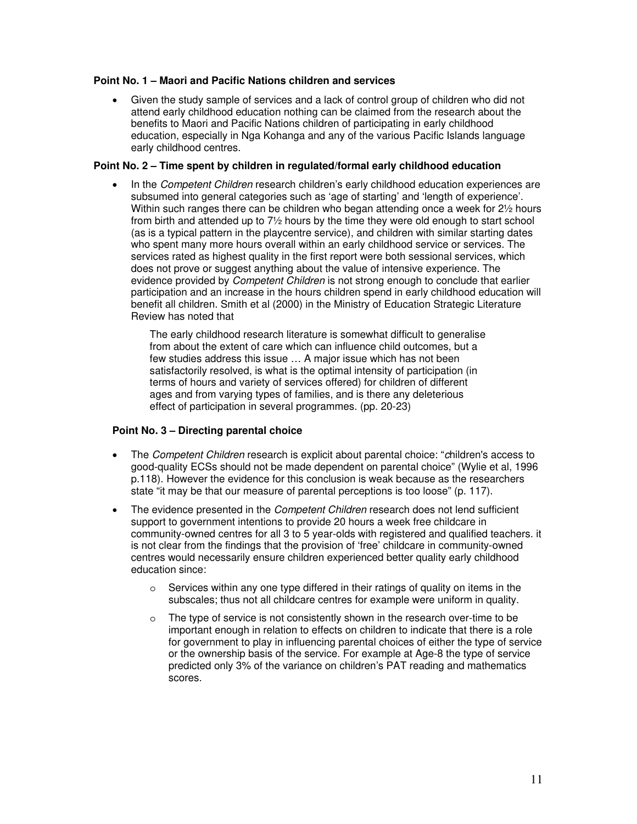#### **Point No. 1 – Maori and Pacific Nations children and services**

• Given the study sample of services and a lack of control group of children who did not attend early childhood education nothing can be claimed from the research about the benefits to Maori and Pacific Nations children of participating in early childhood education, especially in Nga Kohanga and any of the various Pacific Islands language early childhood centres.

#### **Point No. 2 – Time spent by children in regulated/formal early childhood education**

• In the *Competent Children* research children's early childhood education experiences are subsumed into general categories such as 'age of starting' and 'length of experience'. Within such ranges there can be children who began attending once a week for 2½ hours from birth and attended up to 7½ hours by the time they were old enough to start school (as is a typical pattern in the playcentre service), and children with similar starting dates who spent many more hours overall within an early childhood service or services. The services rated as highest quality in the first report were both sessional services, which does not prove or suggest anything about the value of intensive experience. The evidence provided by *Competent Children* is not strong enough to conclude that earlier participation and an increase in the hours children spend in early childhood education will benefit all children. Smith et al (2000) in the Ministry of Education Strategic Literature Review has noted that

The early childhood research literature is somewhat difficult to generalise from about the extent of care which can influence child outcomes, but a few studies address this issue … A major issue which has not been satisfactorily resolved, is what is the optimal intensity of participation (in terms of hours and variety of services offered) for children of different ages and from varying types of families, and is there any deleterious effect of participation in several programmes. (pp. 20-23)

#### **Point No. 3 – Directing parental choice**

- The *Competent Children* research is explicit about parental choice: "*c*hildren's access to good-quality ECSs should not be made dependent on parental choice" (Wylie et al, 1996 p.118). However the evidence for this conclusion is weak because as the researchers state "it may be that our measure of parental perceptions is too loose" (p. 117).
- The evidence presented in the *Competent Children* research does not lend sufficient support to government intentions to provide 20 hours a week free childcare in community-owned centres for all 3 to 5 year-olds with registered and qualified teachers. it is not clear from the findings that the provision of 'free' childcare in community-owned centres would necessarily ensure children experienced better quality early childhood education since:
	- $\circ$  Services within any one type differed in their ratings of quality on items in the subscales; thus not all childcare centres for example were uniform in quality.
	- o The type of service is not consistently shown in the research over-time to be important enough in relation to effects on children to indicate that there is a role for government to play in influencing parental choices of either the type of service or the ownership basis of the service. For example at Age-8 the type of service predicted only 3% of the variance on children's PAT reading and mathematics scores.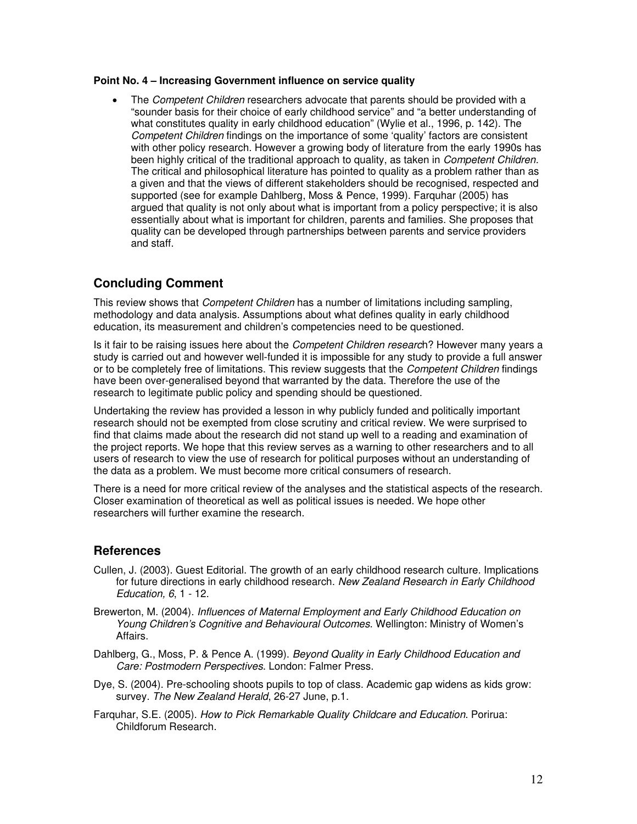#### **Point No. 4 – Increasing Government influence on service quality**

• The *Competent Children* researchers advocate that parents should be provided with a "sounder basis for their choice of early childhood service" and "a better understanding of what constitutes quality in early childhood education" (Wylie et al., 1996, p. 142). The *Competent Children* findings on the importance of some 'quality' factors are consistent with other policy research. However a growing body of literature from the early 1990s has been highly critical of the traditional approach to quality, as taken in *Competent Children.*  The critical and philosophical literature has pointed to quality as a problem rather than as a given and that the views of different stakeholders should be recognised, respected and supported (see for example Dahlberg, Moss & Pence, 1999). Farquhar (2005) has argued that quality is not only about what is important from a policy perspective; it is also essentially about what is important for children, parents and families. She proposes that quality can be developed through partnerships between parents and service providers and staff.

## **Concluding Comment**

This review shows that *Competent Children* has a number of limitations including sampling, methodology and data analysis. Assumptions about what defines quality in early childhood education, its measurement and children's competencies need to be questioned.

Is it fair to be raising issues here about the *Competent Children researc*h? However many years a study is carried out and however well-funded it is impossible for any study to provide a full answer or to be completely free of limitations. This review suggests that the *Competent Children* findings have been over-generalised beyond that warranted by the data. Therefore the use of the research to legitimate public policy and spending should be questioned.

Undertaking the review has provided a lesson in why publicly funded and politically important research should not be exempted from close scrutiny and critical review. We were surprised to find that claims made about the research did not stand up well to a reading and examination of the project reports. We hope that this review serves as a warning to other researchers and to all users of research to view the use of research for political purposes without an understanding of the data as a problem. We must become more critical consumers of research.

There is a need for more critical review of the analyses and the statistical aspects of the research. Closer examination of theoretical as well as political issues is needed. We hope other researchers will further examine the research.

## **References**

- Cullen, J. (2003). Guest Editorial. The growth of an early childhood research culture. Implications for future directions in early childhood research. *New Zealand Research in Early Childhood Education, 6*, 1 - 12.
- Brewerton, M. (2004). *Influences of Maternal Employment and Early Childhood Education on Young Children's Cognitive and Behavioural Outcomes*. Wellington: Ministry of Women's Affairs.
- Dahlberg, G., Moss, P. & Pence A. (1999). *Beyond Quality in Early Childhood Education and Care: Postmodern Perspectives*. London: Falmer Press.
- Dye, S. (2004). Pre-schooling shoots pupils to top of class. Academic gap widens as kids grow: survey. *The New Zealand Herald*, 26-27 June, p.1.
- Farquhar, S.E. (2005). *How to Pick Remarkable Quality Childcare and Education*. Porirua: Childforum Research.